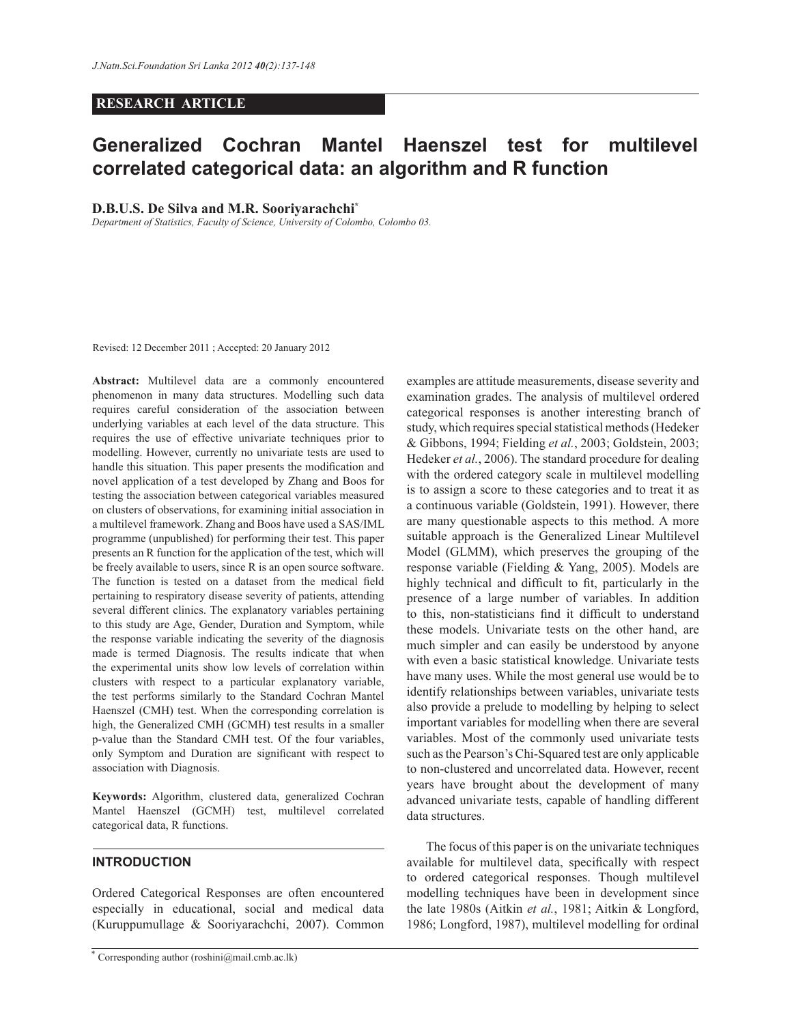#### **RESEARCH ARTICLE**

# **Generalized Cochran Mantel Haenszel test for multilevel correlated categorical data: an algorithm and R function**

**D.B.U.S. De Silva and M.R. Sooriyarachchi\***

*Department of Statistics, Faculty of Science, University of Colombo, Colombo 03.*

Revised: 12 December 2011 ; Accepted: 20 January 2012

**Abstract:** Multilevel data are a commonly encountered phenomenon in many data structures. Modelling such data requires careful consideration of the association between underlying variables at each level of the data structure. This requires the use of effective univariate techniques prior to modelling. However, currently no univariate tests are used to handle this situation. This paper presents the modification and novel application of a test developed by Zhang and Boos for testing the association between categorical variables measured on clusters of observations, for examining initial association in a multilevel framework. Zhang and Boos have used a SAS/IML programme (unpublished) for performing their test. This paper presents an R function for the application of the test, which will be freely available to users, since R is an open source software. The function is tested on a dataset from the medical field pertaining to respiratory disease severity of patients, attending several different clinics. The explanatory variables pertaining to this study are Age, Gender, Duration and Symptom, while the response variable indicating the severity of the diagnosis made is termed Diagnosis. The results indicate that when the experimental units show low levels of correlation within clusters with respect to a particular explanatory variable, the test performs similarly to the Standard Cochran Mantel Haenszel (CMH) test. When the corresponding correlation is high, the Generalized CMH (GCMH) test results in a smaller p-value than the Standard CMH test. Of the four variables, only Symptom and Duration are significant with respect to association with Diagnosis.

**Keywords:** Algorithm, clustered data, generalized Cochran Mantel Haenszel (GCMH) test, multilevel correlated categorical data, R functions.

## **INTRODUCTION**

Ordered Categorical Responses are often encountered especially in educational, social and medical data (Kuruppumullage & Sooriyarachchi, 2007). Common examples are attitude measurements, disease severity and examination grades. The analysis of multilevel ordered categorical responses is another interesting branch of study, which requires special statistical methods (Hedeker & Gibbons, 1994; Fielding *et al.*, 2003; Goldstein, 2003; Hedeker *et al.*, 2006). The standard procedure for dealing with the ordered category scale in multilevel modelling is to assign a score to these categories and to treat it as a continuous variable (Goldstein, 1991). However, there are many questionable aspects to this method. A more suitable approach is the Generalized Linear Multilevel Model (GLMM), which preserves the grouping of the response variable (Fielding & Yang, 2005). Models are highly technical and difficult to fit, particularly in the presence of a large number of variables. In addition to this, non-statisticians find it difficult to understand these models. Univariate tests on the other hand, are much simpler and can easily be understood by anyone with even a basic statistical knowledge. Univariate tests have many uses. While the most general use would be to identify relationships between variables, univariate tests also provide a prelude to modelling by helping to select important variables for modelling when there are several variables. Most of the commonly used univariate tests such as the Pearson's Chi-Squared test are only applicable to non-clustered and uncorrelated data. However, recent years have brought about the development of many advanced univariate tests, capable of handling different data structures.

 The focus of this paper is on the univariate techniques available for multilevel data, specifically with respect to ordered categorical responses. Though multilevel modelling techniques have been in development since the late 1980s (Aitkin *et al.*, 1981; Aitkin & Longford, 1986; Longford, 1987), multilevel modelling for ordinal

<sup>\*</sup> Corresponding author (roshini@mail.cmb.ac.lk)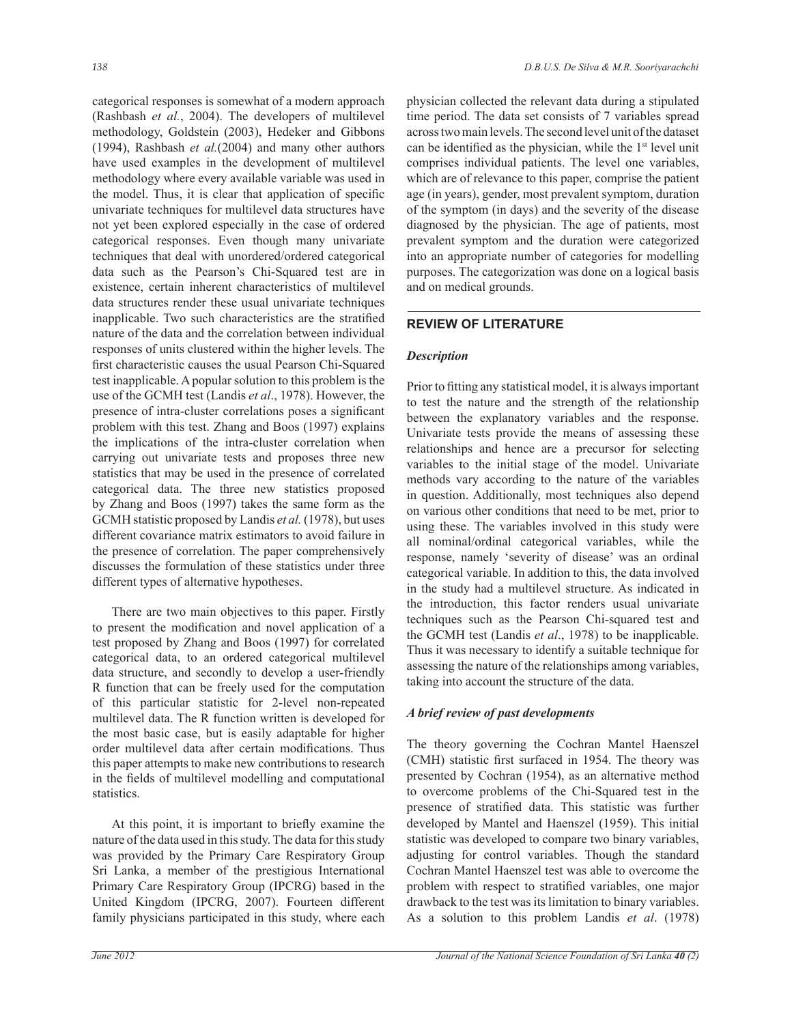categorical responses is somewhat of a modern approach (Rashbash *et al.*, 2004). The developers of multilevel methodology, Goldstein (2003), Hedeker and Gibbons (1994), Rashbash *et al.*(2004) and many other authors have used examples in the development of multilevel methodology where every available variable was used in the model. Thus, it is clear that application of specific univariate techniques for multilevel data structures have not yet been explored especially in the case of ordered categorical responses. Even though many univariate techniques that deal with unordered/ordered categorical data such as the Pearson's Chi-Squared test are in existence, certain inherent characteristics of multilevel data structures render these usual univariate techniques inapplicable. Two such characteristics are the stratified nature of the data and the correlation between individual responses of units clustered within the higher levels. The first characteristic causes the usual Pearson Chi-Squared test inapplicable. A popular solution to this problem is the use of the GCMH test (Landis *et al*., 1978). However, the presence of intra-cluster correlations poses a significant problem with this test. Zhang and Boos (1997) explains the implications of the intra-cluster correlation when carrying out univariate tests and proposes three new statistics that may be used in the presence of correlated categorical data. The three new statistics proposed by Zhang and Boos (1997) takes the same form as the GCMH statistic proposed by Landis *et al.* (1978), but uses different covariance matrix estimators to avoid failure in the presence of correlation. The paper comprehensively discusses the formulation of these statistics under three different types of alternative hypotheses.

 There are two main objectives to this paper. Firstly to present the modification and novel application of a test proposed by Zhang and Boos (1997) for correlated categorical data, to an ordered categorical multilevel data structure, and secondly to develop a user-friendly R function that can be freely used for the computation of this particular statistic for 2-level non-repeated multilevel data. The R function written is developed for the most basic case, but is easily adaptable for higher order multilevel data after certain modifications. Thus this paper attempts to make new contributions to research in the fields of multilevel modelling and computational statistics.

 At this point, it is important to briefly examine the nature of the data used in this study. The data for this study was provided by the Primary Care Respiratory Group Sri Lanka, a member of the prestigious International Primary Care Respiratory Group (IPCRG) based in the United Kingdom (IPCRG, 2007). Fourteen different family physicians participated in this study, where each

physician collected the relevant data during a stipulated time period. The data set consists of 7 variables spread across two main levels. The second level unit of the dataset can be identified as the physician, while the  $1<sup>st</sup>$  level unit comprises individual patients. The level one variables, which are of relevance to this paper, comprise the patient age (in years), gender, most prevalent symptom, duration of the symptom (in days) and the severity of the disease diagnosed by the physician. The age of patients, most prevalent symptom and the duration were categorized into an appropriate number of categories for modelling purposes. The categorization was done on a logical basis and on medical grounds.

# **REVIEW OF LITERATURE**

# *Description*

Prior to fitting any statistical model, it is always important to test the nature and the strength of the relationship between the explanatory variables and the response. Univariate tests provide the means of assessing these relationships and hence are a precursor for selecting variables to the initial stage of the model. Univariate methods vary according to the nature of the variables in question. Additionally, most techniques also depend on various other conditions that need to be met, prior to using these. The variables involved in this study were all nominal/ordinal categorical variables, while the response, namely 'severity of disease' was an ordinal categorical variable. In addition to this, the data involved in the study had a multilevel structure. As indicated in the introduction, this factor renders usual univariate techniques such as the Pearson Chi-squared test and the GCMH test (Landis *et al*., 1978) to be inapplicable. Thus it was necessary to identify a suitable technique for assessing the nature of the relationships among variables, taking into account the structure of the data.

# *A brief review of past developments*

The theory governing the Cochran Mantel Haenszel (CMH) statistic first surfaced in 1954. The theory was presented by Cochran (1954), as an alternative method to overcome problems of the Chi-Squared test in the presence of stratified data. This statistic was further developed by Mantel and Haenszel (1959). This initial statistic was developed to compare two binary variables, adjusting for control variables. Though the standard Cochran Mantel Haenszel test was able to overcome the problem with respect to stratified variables, one major drawback to the test was its limitation to binary variables. As a solution to this problem Landis *et al*. (1978)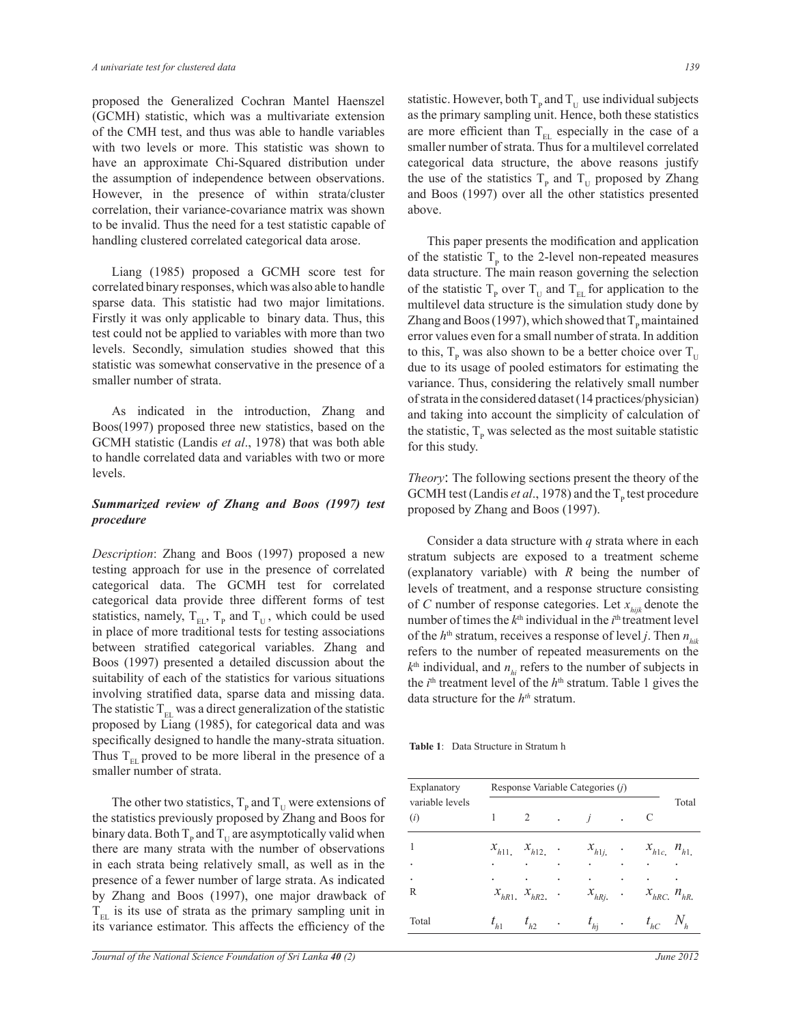proposed the Generalized Cochran Mantel Haenszel (GCMH) statistic, which was a multivariate extension of the CMH test, and thus was able to handle variables with two levels or more. This statistic was shown to have an approximate Chi-Squared distribution under the assumption of independence between observations. However, in the presence of within strata/cluster correlation, their variance-covariance matrix was shown to be invalid. Thus the need for a test statistic capable of handling clustered correlated categorical data arose.

 Liang (1985) proposed a GCMH score test for correlated binary responses, which was also able to handle sparse data. This statistic had two major limitations. Firstly it was only applicable to binary data. Thus, this test could not be applied to variables with more than two levels. Secondly, simulation studies showed that this statistic was somewhat conservative in the presence of a smaller number of strata.

 As indicated in the introduction, Zhang and Boos(1997) proposed three new statistics, based on the GCMH statistic (Landis *et al*., 1978) that was both able to handle correlated data and variables with two or more levels.

# *Summarized review of Zhang and Boos (1997) test procedure*

*Description*: Zhang and Boos (1997) proposed a new testing approach for use in the presence of correlated categorical data. The GCMH test for correlated categorical data provide three different forms of test statistics, namely,  $T_{EL}$ ,  $T_{p}$  and  $T_{U}$ , which could be used in place of more traditional tests for testing associations between stratified categorical variables. Zhang and Boos (1997) presented a detailed discussion about the suitability of each of the statistics for various situations involving stratified data, sparse data and missing data. The statistic  $T_{EL}$  was a direct generalization of the statistic proposed by Liang (1985), for categorical data and was specifically designed to handle the many-strata situation. Thus  $T_{\text{E}}$  proved to be more liberal in the presence of a smaller number of strata.

The other two statistics,  $T_{\text{p}}$  and  $T_{\text{U}}$  were extensions of the statistics previously proposed by Zhang and Boos for binary data. Both  $T_{p}$  and  $T_{U}$  are asymptotically valid when there are many strata with the number of observations in each strata being relatively small, as well as in the presence of a fewer number of large strata. As indicated by Zhang and Boos (1997), one major drawback of  $T_{\text{ET}}$  is its use of strata as the primary sampling unit in its variance estimator. This affects the efficiency of the

statistic. However, both  $T_{p}$  and  $T_{U}$  use individual subjects as the primary sampling unit. Hence, both these statistics are more efficient than  $T_{EL}$  especially in the case of a smaller number of strata. Thus for a multilevel correlated categorical data structure, the above reasons justify the use of the statistics  $T_{p}$  and  $T_{U}$  proposed by Zhang and Boos (1997) over all the other statistics presented above.

 This paper presents the modification and application of the statistic  $T<sub>p</sub>$  to the 2-level non-repeated measures data structure. The main reason governing the selection of the statistic  $T_{p}$  over  $T_{U}$  and  $T_{EL}$  for application to the multilevel data structure is the simulation study done by Zhang and Boos (1997), which showed that  $T_{p}$  maintained error values even for a small number of strata. In addition to this,  $T_{p}$  was also shown to be a better choice over  $T_{U}$ due to its usage of pooled estimators for estimating the variance. Thus, considering the relatively small number of strata in the considered dataset (14 practices/physician) and taking into account the simplicity of calculation of the statistic,  $T_{\text{p}}$  was selected as the most suitable statistic for this study.

*Theory*: The following sections present the theory of the GCMH test (Landis *et al.*, 1978) and the  $T_p$  test procedure proposed by Zhang and Boos (1997).

 Consider a data structure with *q* strata where in each stratum subjects are exposed to a treatment scheme (explanatory variable) with *R* being the number of levels of treatment, and a response structure consisting of *C* number of response categories. Let *x hijk* denote the number of times the  $k^{\text{th}}$  individual in the  $i^{\text{th}}$  treatment level of the *h*<sup>th</sup> stratum, receives a response of level *j*. Then  $n_{hik}$ refers to the number of repeated measurements on the  $k<sup>th</sup>$  individual, and  $n<sub>hi</sub>$  refers to the number of subjects in the  $i<sup>th</sup>$  treatment level of the  $h<sup>th</sup>$  stratum. Table 1 gives the data structure for the *h th* stratum.

**Table 1**: Data Structure in Stratum h

| Explanatory            | Response Variable Categories ( <i>j</i> ) |                           |  |                     |                |                                   |       |
|------------------------|-------------------------------------------|---------------------------|--|---------------------|----------------|-----------------------------------|-------|
| variable levels<br>(i) |                                           | $\overline{2}$            |  | $\cdot$ $j$ $\cdot$ |                | C                                 | Total |
|                        |                                           | $x_{h11}$ , $x_{h12}$ , . |  |                     |                | $x_{h1j}$ , $x_{h1c}$ , $n_{h1c}$ |       |
| ٠                      |                                           |                           |  |                     |                |                                   |       |
|                        |                                           |                           |  |                     |                |                                   |       |
| R                      |                                           | $x_{hR1}$ , $x_{hR2}$ , . |  |                     |                | $x_{hRj}$ , $x_{hRC}$ , $n_{hRj}$ |       |
| Total                  | $t_{h1}$                                  | $t_{h2}$                  |  | $t_{h}$             | $\sim 10^{-1}$ | $t_{hc}$ $N_h$                    |       |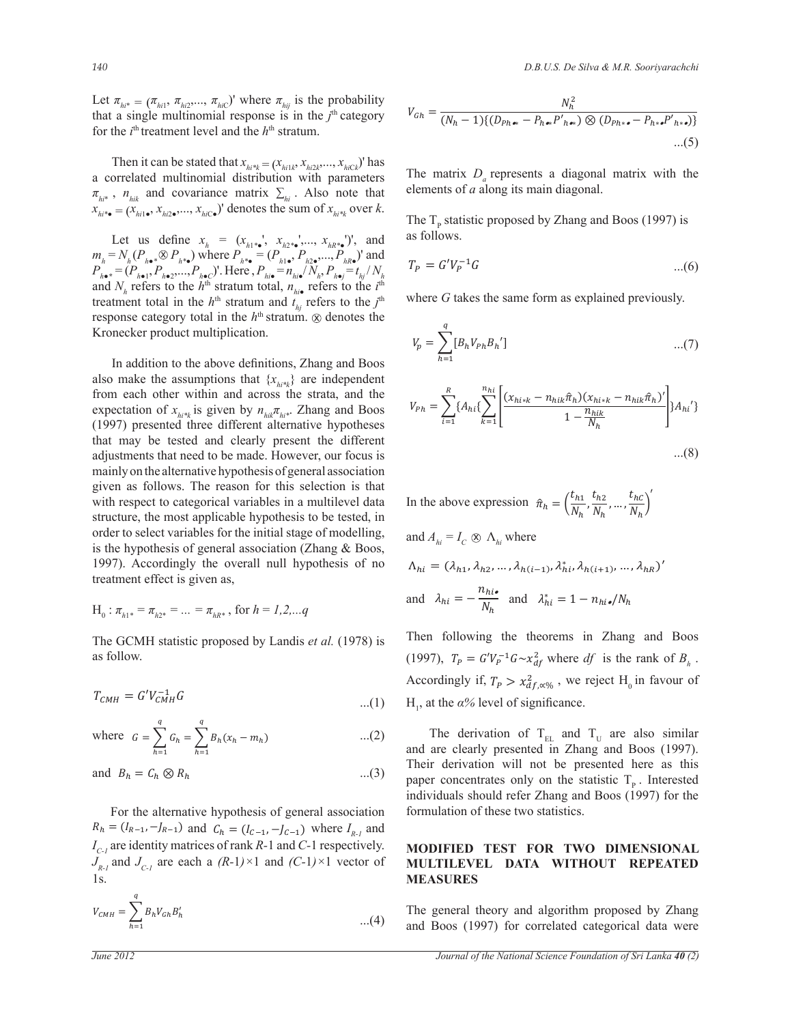Let  $\pi_{h_i^*} = (\pi_{h_i^*}, \pi_{h_i^*}, \dots, \pi_{h_i^*})$ ' where  $\pi_{h_i^*}$  is the probability that a single multinomial response is in the  $j<sup>th</sup>$  category for the  $i<sup>th</sup>$  treatment level and the  $h<sup>th</sup>$  stratum.

Then it can be stated that  $x_{h_i * k} = (x_{h_i k}, x_{h_i k}, \ldots, x_{h_i k})$ ' has a correlated multinomial distribution with parameters  $\pi_{hik}$ ,  $n_{hik}$  and covariance matrix  $\Sigma_{hi}$ . Also note that  $x_{hi^* \bullet} = (x_{hi^* \bullet}, x_{hi^* \bullet}, \ldots, x_{hi^* \bullet})'$  denotes the sum of  $x_{hi^* k}$  over  $k$ .

Let us define  $x_h = (x_{h1} * \bullet, x_{h2} * \bullet, ..., x_{hR} * \bullet))$ , and  $m_h = N_h(P_{h\bullet *}\otimes P_{h^*\bullet})$  where  $P_{h^*\bullet} = (P_{h\bullet}P_{h^*\bullet}, P_{h^2\bullet}, \dots, P_{hR\bullet})$ ' and  $P_{h\bullet^*} = (P_{h\bullet 1}, P_{h\bullet 2}, \ldots, P_{h\bullet C})$ '. Here  $P_{h\bullet} = n_{h\bullet} / N_h P_{h\bullet j} = t_{hj} / N_h$ and  $N_h$  refers to the  $h^{\text{th}}$  stratum total,  $n_{hi\bullet}$  refers to the  $i^{\text{th}}$ treatment total in the  $h<sup>th</sup>$  stratum and  $t_{hj}$  refers to the  $j<sup>th</sup>$ response category total in the  $h<sup>th</sup>$  stratum.  $\otimes$  denotes the Kronecker product multiplication.

 In addition to the above definitions, Zhang and Boos also make the assumptions that  $\{x_{hik}\}\$ are independent from each other within and across the strata, and the expectation of  $x_{hi*k}$  is given by  $n_{hi*}\pi_{hi*}$ . Zhang and Boos (1997) presented three different alternative hypotheses that may be tested and clearly present the different adjustments that need to be made. However, our focus is mainly on the alternative hypothesis of general association given as follows. The reason for this selection is that with respect to categorical variables in a multilevel data structure, the most applicable hypothesis to be tested, in order to select variables for the initial stage of modelling, is the hypothesis of general association (Zhang & Boos, 1997). Accordingly the overall null hypothesis of no treatment effect is given as,

$$
H_0: \pi_{h1*} = \pi_{h2*} = \dots = \pi_{hR*}
$$
, for  $h = 1, 2, \dots, q$ 

The GCMH statistic proposed by Landis *et al.* (1978) is as follow.

$$
T_{CMH} = G'V_{CMH}^{-1}G \tag{1}
$$

where 
$$
G = \sum_{h=1}^{q} G_h = \sum_{h=1}^{q} B_h (x_h - m_h) \quad ...(2)
$$

and 
$$
B_h = C_h \otimes R_h
$$
 ...(3)

For the alternative hypothesis of general association  $R_h = (I_{R-1}, -I_{R-1})$  and  $C_h = (I_{C-1}, -I_{C-1})$  where  $I_{R-1}$  and *I C-1* are identity matrices of rank *R-*1 and *C-*1 respectively.  $J_{R-1}$  and  $J_{C-1}$  are each a  $(R-1) \times 1$  and  $(C-1) \times 1$  vector of 1s.

$$
V_{CMH} = \sum_{h=1}^{q} B_h V_{Gh} B'_h \qquad \qquad ...(4)
$$

$$
V_{Gh} = \frac{N_h^2}{(N_h - 1)\{(D_{Ph\bullet\star} - P_{h\bullet\star}P'_{h\bullet\star})\otimes (D_{Ph\star\bullet} - P_{h\star\bullet}P'_{h\star\bullet})\}}\dots(5)
$$

The matrix  $D_a$  represents a diagonal matrix with the elements of *a* along its main diagonal.

The  $T<sub>p</sub>$  statistic proposed by Zhang and Boos (1997) is as follows.

$$
T_P = G' V_P^{-1} G \qquad \qquad \dots (6)
$$

where *G* takes the same form as explained previously.

$$
V_p = \sum_{h=1}^{q} [B_h V_{Ph} B_h'] \qquad \qquad \dots (7)
$$

$$
V_{Ph} = \sum_{i=1}^{R} \{A_{hi}\left\{\sum_{k=1}^{n_{hi}} \left[ \frac{(x_{hi+k} - n_{hik}\hat{\pi}_h)(x_{hi+k} - n_{hik}\hat{\pi}_h)'}{1 - \frac{n_{hik}}{N_h}} \right] \} A_{hi} \right\}
$$
...(8)

 $\overline{a}$ 

In the above expression  $\hat{\pi}_h = \left(\frac{t_{h1}}{N_h}, \frac{t_{h2}}{N_h}\right)$  $\frac{t_{h2}}{N_h}, \ldots, \frac{t_{hC}}{N_h}$  $\frac{1}{N_h}$ 

and  $A_{hi} = I_C \otimes \Lambda_{hi}$  where

$$
\Lambda_{hi} = (\lambda_{h1}, \lambda_{h2}, \dots, \lambda_{h(i-1)}, \lambda_{hi}^*, \lambda_{h(i+1)}, \dots, \lambda_{hR})'
$$
  
and  $\lambda_{hi} = -\frac{n_{hi\bullet}}{N_h}$  and  $\lambda_{hi}^* = 1 - n_{hi\bullet}/N_h$ 

Then following the theorems in Zhang and Boos (1997),  $T_P = G'V_P^{-1}G \sim x_{df}^2$  where *df* is the rank of  $B_h$ . Accordingly if,  $T_p > x_{df,\alpha\%}^2$ , we reject H<sub>0</sub> in favour of  $H<sub>1</sub>$ , at the *α%* level of significance.

The derivation of  $T_{EL}$  and  $T_U$  are also similar and are clearly presented in Zhang and Boos (1997). Their derivation will not be presented here as this paper concentrates only on the statistic  $T<sub>p</sub>$ . Interested individuals should refer Zhang and Boos (1997) for the formulation of these two statistics.

# **MODIFIED TEST FOR TWO DIMENSIONAL MULTILEVEL DATA WITHOUT REPEATED MEASURES**

The general theory and algorithm proposed by Zhang and Boos (1997) for correlated categorical data were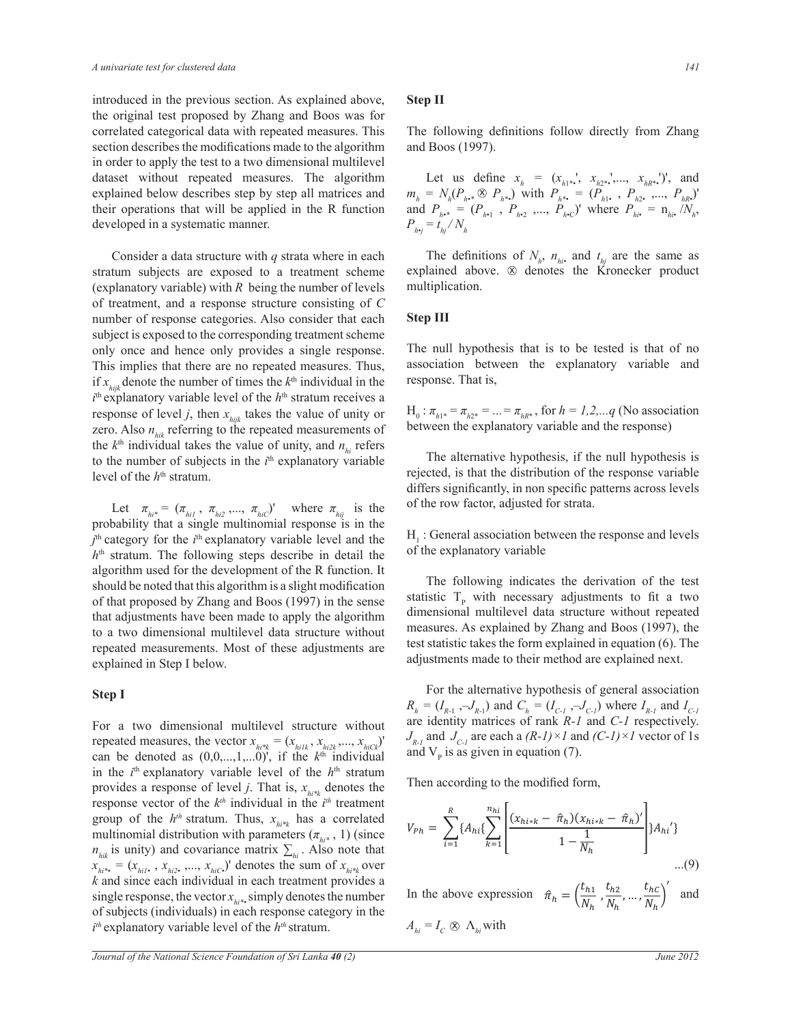introduced in the previous section. As explained above, the original test proposed by Zhang and Boos was for correlated categorical data with repeated measures. This section describes the modifications made to the algorithm in order to apply the test to a two dimensional multilevel dataset without repeated measures. The algorithm explained below describes step by step all matrices and their operations that will be applied in the R function developed in a systematic manner.

 Consider a data structure with *q* strata where in each stratum subjects are exposed to a treatment scheme (explanatory variable) with *R* being the number of levels of treatment, and a response structure consisting of *C* number of response categories. Also consider that each subject is exposed to the corresponding treatment scheme only once and hence only provides a single response. This implies that there are no repeated measures. Thus, if  $x_{hijk}$  denote the number of times the  $k<sup>th</sup>$  individual in the  $i<sup>th</sup>$  explanatory variable level of the  $h<sup>th</sup>$  stratum receives a response of level *j*, then *x hijk* takes the value of unity or zero. Also  $n_{hik}$  referring to the repeated measurements of the  $k^{\text{th}}$  individual takes the value of unity, and  $n_{\text{th}}$  refers to the number of subjects in the  $i<sup>th</sup>$  explanatory variable level of the  $h<sup>th</sup>$  stratum.

Let  $\pi_{hi^*} = (\pi_{hi1}, \pi_{hi2}, \dots, \pi_{hiC})'$  where  $\pi_{hij}$  is the probability that a single multinomial response is in the *j*<sup>th</sup> category for the *i*<sup>th</sup> explanatory variable level and the  $h<sup>th</sup>$  stratum. The following steps describe in detail the algorithm used for the development of the R function. It should be noted that this algorithm is a slight modification of that proposed by Zhang and Boos (1997) in the sense that adjustments have been made to apply the algorithm to a two dimensional multilevel data structure without repeated measurements. Most of these adjustments are explained in Step I below.

#### **Step I**

For a two dimensional multilevel structure without repeated measures, the vector  $x_{hik} = (x_{hilk}, x_{h2k}, \ldots, x_{hick})'$ can be denoted as  $(0,0,\ldots,1,\ldots,0)$ <sup>'</sup>, if the  $k^{\text{th}}$  individual in the  $i^{\text{th}}$  explanatory variable level of the  $h^{\text{th}}$  stratum provides a response of level *j*. That is,  $x_{h i * k}$  denotes the response vector of the  $k^{th}$  individual in the  $i^{th}$  treatment group of the  $h^{th}$  stratum. Thus,  $x_{h^{i*}k}$  has a correlated multinomial distribution with parameters  $(\pi_{h^{**}}, 1)$  (since  $n_{hik}$  is unity) and covariance matrix  $\sum_{hi}$ . Also note that  $x_{hi^*} = (x_{hi1}, x_{hi2}, \ldots, x_{hiC})'$  denotes the sum of  $x_{hi^*k}$  over *k* and since each individual in each treatment provides a single response, the vector *x hi\*•* simply denotes the number of subjects (individuals) in each response category in the  $i^{th}$  explanatory variable level of the  $h^{th}$  stratum.

# **Step II**

The following definitions follow directly from Zhang and Boos (1997).

Let us define  $x_h = (x_{h1^*}, x_{h2^*}, \ldots, x_{hR^*})$ , and  $m_h = N_h(P_{h^{**}} \otimes P_{h^{**}})$  with  $P_{h^{**}} = (P_{h1} \cdot P_{h2} \cdot P_{h2} \cdot P_{hR}$ <sup>+</sup> and  $P_{h^{**}} = (P_{h^{*1}} \cdot P_{h^{*2}} \cdot \dots \cdot P_{h^{*C}})$  where  $P_{h^{**}} = n_{h^{**}}/N_{h^{*}}$  $P_{h \cdot j} = t_{hj} / N_h$ 

The definitions of  $N_h$ ,  $n_{hi}$ , and  $t_{hj}$  are the same as explained above.  $\otimes$  denotes the Kronecker product multiplication.

#### **Step III**

The null hypothesis that is to be tested is that of no association between the explanatory variable and response. That is,

 $H_0: \pi_{h1*} = \pi_{h2*} = ... = \pi_{hR*}$ , for  $h = 1, 2, ..., q$  (No association between the explanatory variable and the response)

 The alternative hypothesis, if the null hypothesis is rejected, is that the distribution of the response variable differs significantly, in non specific patterns across levels of the row factor, adjusted for strata.

 $H<sub>1</sub>$ : General association between the response and levels of the explanatory variable

 The following indicates the derivation of the test statistic  $T_{\text{p}}$  with necessary adjustments to fit a two dimensional multilevel data structure without repeated measures. As explained by Zhang and Boos (1997), the test statistic takes the form explained in equation (6). The adjustments made to their method are explained next.

 For the alternative hypothesis of general association  $R_h = (I_{R-1}, -J_{R-1})$  and  $C_h = (I_{C-1}, -J_{C-1})$  where  $I_{R-1}$  and  $I_{C-1}$ are identity matrices of rank *R-1* and *C-1* respectively.  $J_{R-1}$  and  $J_{C-1}$  are each a *(R-1)* × *1* and *(C-1)* × *1* vector of 1s and  $V_p$  is as given in equation (7).

Then according to the modified form,

$$
V_{Ph} = \sum_{i=1}^{R} \{A_{hi}\left\{\sum_{k=1}^{n_{hi}} \left| \frac{(x_{hi*k} - \hat{\pi}_h)(x_{hi*k} - \hat{\pi}_h)'}{1 - \frac{1}{N_h}} \right| \} A_{hi}{}' \}
$$
...(9)

In the above expression  $\hat{\pi}_h = \left(\frac{t_{h1}}{N_h}, \frac{t_{h2}}{N_h}\right)$  $\frac{t_{h2}}{N_h}, \ldots, \frac{t_{hC}}{N_h}$  $\frac{hc}{N_h}$  $\overline{a}$ and

$$
A_{hi} = I_C \otimes \Lambda_{hi} \text{ with }
$$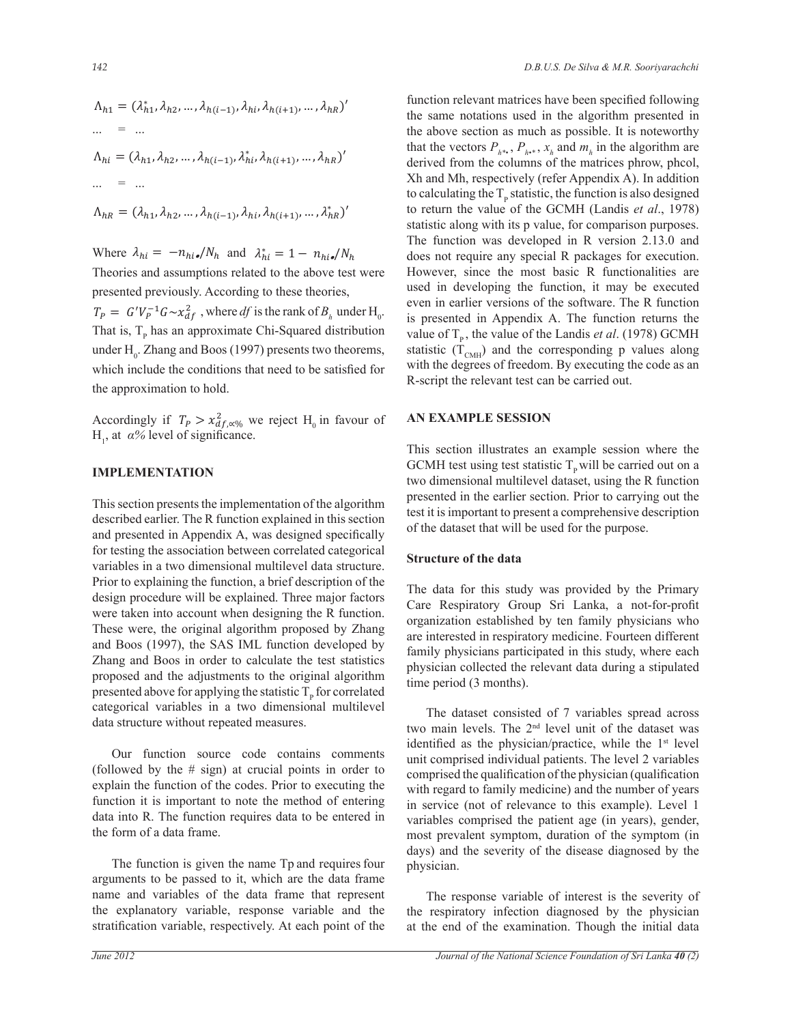$$
\Lambda_{h1} = (\lambda_{h1}^*, \lambda_{h2}, ..., \lambda_{h(i-1)}, \lambda_{hi}, \lambda_{h(i+1)}, ..., \lambda_{hR})'
$$
  
\n... = ...  
\n
$$
\Lambda_{hi} = (\lambda_{h1}, \lambda_{h2}, ..., \lambda_{h(i-1)}, \lambda_{hi}^*, \lambda_{h(i+1)}, ..., \lambda_{hR})'
$$
  
\n... = ...

$$
\boldsymbol{\Lambda}_{hR}=(\lambda_{h1},\lambda_{h2},\ldots,\lambda_{h(i-1)},\lambda_{hi},\lambda_{h(i+1)},\ldots,\lambda_{hR}^*)'
$$

Where  $\lambda_{hi} = -n_{hi} / N_h$  and  $\lambda_{hi}^* = 1 - n_{hi} / N_h$ Theories and assumptions related to the above test were presented previously. According to these theories,

 $T_P = G'V_P^{-1}G \sim x_{df}^2$ , where *df* is the rank of  $B_h$  under H<sub>0</sub>. That is,  $T<sub>p</sub>$  has an approximate Chi-Squared distribution under  $H_0$ . Zhang and Boos (1997) presents two theorems, which include the conditions that need to be satisfied for the approximation to hold.

Accordingly if  $T_p > x_{df,\alpha\%}^2$  we reject H<sub>0</sub> in favour of H<sub>1</sub>, at *α*% level of significance.

### **IMPLEMENTATION**

This section presents the implementation of the algorithm described earlier. The R function explained in this section and presented in Appendix A, was designed specifically for testing the association between correlated categorical variables in a two dimensional multilevel data structure. Prior to explaining the function, a brief description of the design procedure will be explained. Three major factors were taken into account when designing the R function. These were, the original algorithm proposed by Zhang and Boos (1997), the SAS IML function developed by Zhang and Boos in order to calculate the test statistics proposed and the adjustments to the original algorithm presented above for applying the statistic  $T_{p}$  for correlated categorical variables in a two dimensional multilevel data structure without repeated measures.

 Our function source code contains comments (followed by the # sign) at crucial points in order to explain the function of the codes. Prior to executing the function it is important to note the method of entering data into R. The function requires data to be entered in the form of a data frame.

The function is given the name Tp and requires four arguments to be passed to it, which are the data frame name and variables of the data frame that represent the explanatory variable, response variable and the stratification variable, respectively. At each point of the function relevant matrices have been specified following the same notations used in the algorithm presented in the above section as much as possible. It is noteworthy that the vectors  $P_{h^{**}}$ ,  $P_{h^{**}}$ ,  $x_h$  and  $m_h$  in the algorithm are derived from the columns of the matrices phrow, phcol, Xh and Mh, respectively (refer Appendix A). In addition to calculating the  $T<sub>p</sub>$  statistic, the function is also designed to return the value of the GCMH (Landis *et al*., 1978) statistic along with its p value, for comparison purposes. The function was developed in R version 2.13.0 and does not require any special R packages for execution. However, since the most basic R functionalities are used in developing the function, it may be executed even in earlier versions of the software. The R function is presented in Appendix A. The function returns the value of  $T_p$ , the value of the Landis *et al.* (1978) GCMH statistic  $(T<sub>CMH</sub>)$  and the corresponding p values along with the degrees of freedom. By executing the code as an R-script the relevant test can be carried out.

#### **AN EXAMPLE SESSION**

This section illustrates an example session where the GCMH test using test statistic  $T<sub>p</sub>$  will be carried out on a two dimensional multilevel dataset, using the R function presented in the earlier section. Prior to carrying out the test it is important to present a comprehensive description of the dataset that will be used for the purpose.

#### **Structure of the data**

The data for this study was provided by the Primary Care Respiratory Group Sri Lanka, a not-for-profit organization established by ten family physicians who are interested in respiratory medicine. Fourteen different family physicians participated in this study, where each physician collected the relevant data during a stipulated time period (3 months).

 The dataset consisted of 7 variables spread across two main levels. The 2nd level unit of the dataset was identified as the physician/practice, while the  $1<sup>st</sup>$  level unit comprised individual patients. The level 2 variables comprised the qualification of the physician (qualification with regard to family medicine) and the number of years in service (not of relevance to this example). Level 1 variables comprised the patient age (in years), gender, most prevalent symptom, duration of the symptom (in days) and the severity of the disease diagnosed by the physician.

 The response variable of interest is the severity of the respiratory infection diagnosed by the physician at the end of the examination. Though the initial data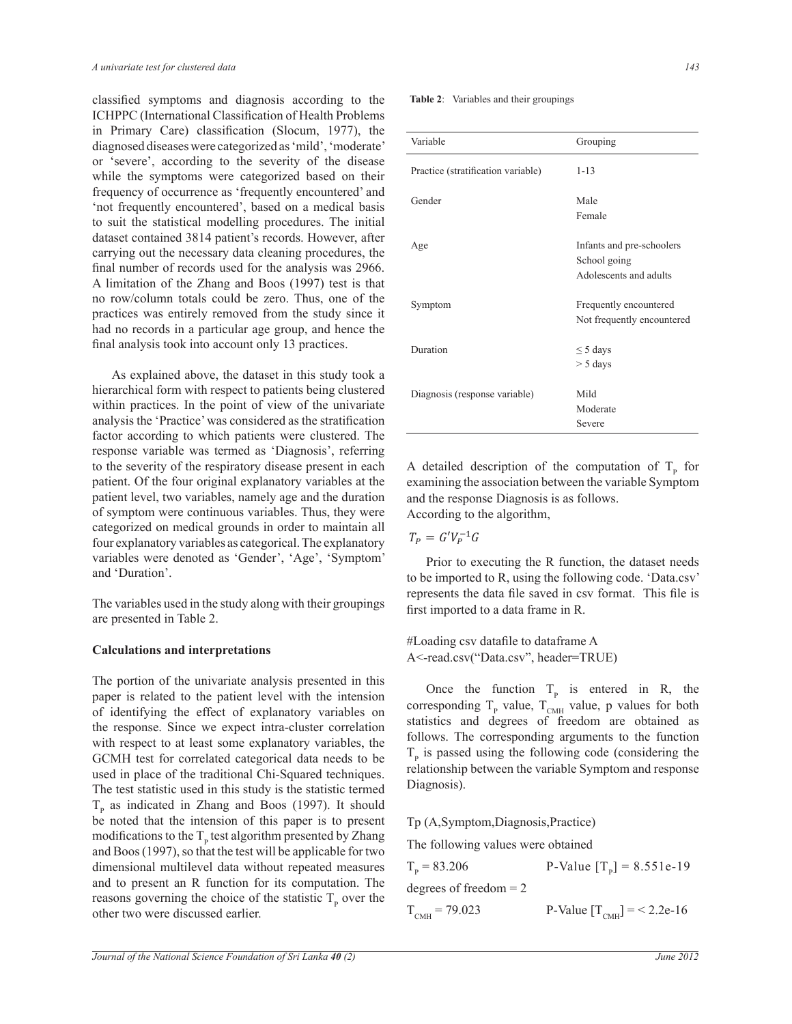classified symptoms and diagnosis according to the ICHPPC (International Classification of Health Problems in Primary Care) classification (Slocum, 1977), the diagnosed diseases were categorized as 'mild', 'moderate' or 'severe', according to the severity of the disease while the symptoms were categorized based on their frequency of occurrence as 'frequently encountered' and 'not frequently encountered', based on a medical basis to suit the statistical modelling procedures. The initial dataset contained 3814 patient's records. However, after carrying out the necessary data cleaning procedures, the final number of records used for the analysis was 2966. A limitation of the Zhang and Boos (1997) test is that no row/column totals could be zero. Thus, one of the practices was entirely removed from the study since it had no records in a particular age group, and hence the final analysis took into account only 13 practices.

 As explained above, the dataset in this study took a hierarchical form with respect to patients being clustered within practices. In the point of view of the univariate analysis the 'Practice' was considered as the stratification factor according to which patients were clustered. The response variable was termed as 'Diagnosis', referring to the severity of the respiratory disease present in each patient. Of the four original explanatory variables at the patient level, two variables, namely age and the duration of symptom were continuous variables. Thus, they were categorized on medical grounds in order to maintain all four explanatory variables as categorical. The explanatory variables were denoted as 'Gender', 'Age', 'Symptom' and 'Duration'.

The variables used in the study along with their groupings are presented in Table 2.

#### **Calculations and interpretations**

The portion of the univariate analysis presented in this paper is related to the patient level with the intension of identifying the effect of explanatory variables on the response. Since we expect intra-cluster correlation with respect to at least some explanatory variables, the GCMH test for correlated categorical data needs to be used in place of the traditional Chi-Squared techniques. The test statistic used in this study is the statistic termed  $T<sub>p</sub>$  as indicated in Zhang and Boos (1997). It should be noted that the intension of this paper is to present modifications to the  $T_{p}$  test algorithm presented by Zhang and Boos (1997), so that the test will be applicable for two dimensional multilevel data without repeated measures and to present an R function for its computation. The reasons governing the choice of the statistic  $T_{p}$  over the other two were discussed earlier.

#### **Table 2**: Variables and their groupings

| Variable                           | Grouping                                                            |
|------------------------------------|---------------------------------------------------------------------|
| Practice (stratification variable) | $1 - 13$                                                            |
| Gender                             | Male<br>Female                                                      |
| Age                                | Infants and pre-schoolers<br>School going<br>Adolescents and adults |
| Symptom                            | Frequently encountered<br>Not frequently encountered                |
| Duration                           | $\leq$ 5 days<br>$> 5$ days                                         |
| Diagnosis (response variable)      | Mild<br>Moderate<br>Severe                                          |

A detailed description of the computation of  $T_{p}$  for examining the association between the variable Symptom and the response Diagnosis is as follows. According to the algorithm,

$$
T_P = G' V_P^{-1} G
$$

 Prior to executing the R function, the dataset needs to be imported to R, using the following code. 'Data.csv' represents the data file saved in csv format. This file is first imported to a data frame in R.

#Loading csv datafile to dataframe A A<-read.csv("Data.csv", header=TRUE)

Once the function  $T<sub>p</sub>$  is entered in R, the corresponding  $T_{p}$  value,  $T_{CMH}$  value, p values for both statistics and degrees of freedom are obtained as follows. The corresponding arguments to the function  $T<sub>p</sub>$  is passed using the following code (considering the relationship between the variable Symptom and response Diagnosis).

Tp (A,Symptom,Diagnosis,Practice)

The following values were obtained

 $T_p = 83.206$  P-Value  $[T_p] = 8.551e-19$ 

degrees of freedom = 2

 $T_{\text{CMH}}$  = 79.023 P-Value  $[T_{\text{CMH}}]$  = < 2.2e-16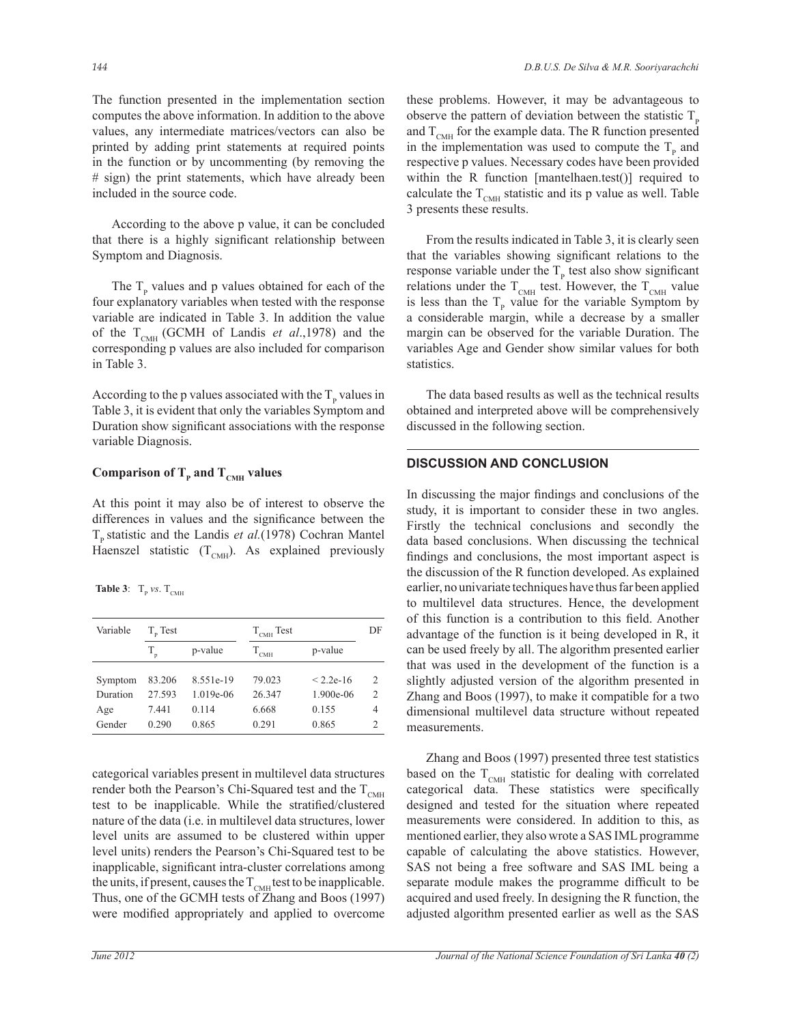The function presented in the implementation section computes the above information. In addition to the above values, any intermediate matrices/vectors can also be printed by adding print statements at required points in the function or by uncommenting (by removing the # sign) the print statements, which have already been included in the source code.

 According to the above p value, it can be concluded that there is a highly significant relationship between Symptom and Diagnosis.

The  $T_{\text{p}}$  values and p values obtained for each of the four explanatory variables when tested with the response variable are indicated in Table 3. In addition the value of the  $T_{\text{CMH}}$  (GCMH of Landis *et al.*,1978) and the corresponding p values are also included for comparison in Table 3.

According to the p values associated with the  $T_{p}$  values in Table 3, it is evident that only the variables Symptom and Duration show significant associations with the response variable Diagnosis.

# $\mathbf{Comparison of }\mathbf{T}_{_{\mathrm{P}}}$  and  $\mathbf{T}_{_{\mathrm{CMH}}}$  values

At this point it may also be of interest to observe the differences in values and the significance between the T<sub>p</sub> statistic and the Landis *et al.*(1978) Cochran Mantel Haenszel statistic  $(T<sub>CMH</sub>)$ . As explained previously

**Table 3**:  $T_{\text{p}}$  *vs*.  $T_{\text{CMH}}$ 

| Variable | $Tn$ Test |             | $\rm T_{\rm CMH}$ Test | DF          |                |
|----------|-----------|-------------|------------------------|-------------|----------------|
|          | T         | p-value     | $\rm T_{_{CMB}}$       | p-value     |                |
| Symptom  | 83.206    | 8.551e-19   | 79.023                 | $< 2.2e-16$ | $\overline{c}$ |
| Duration | 27.593    | $1.019e-06$ | 26.347                 | 1.900e-06   | $\overline{c}$ |
| Age      | 7.441     | 0.114       | 6.668                  | 0.155       | 4              |
| Gender   | 0.290     | 0.865       | 0.291                  | 0.865       | $\overline{c}$ |

categorical variables present in multilevel data structures render both the Pearson's Chi-Squared test and the  $T_{\text{CMB}}$ test to be inapplicable. While the stratified/clustered nature of the data (i.e. in multilevel data structures, lower level units are assumed to be clustered within upper level units) renders the Pearson's Chi-Squared test to be inapplicable, significant intra-cluster correlations among the units, if present, causes the  $T_{\text{CMH}}$  test to be inapplicable. Thus, one of the GCMH tests of Zhang and Boos (1997) were modified appropriately and applied to overcome these problems. However, it may be advantageous to observe the pattern of deviation between the statistic  $T_{p}$ and  $T_{\text{CMH}}$  for the example data. The R function presented in the implementation was used to compute the  $T_{p}$  and respective p values. Necessary codes have been provided within the R function [mantelhaen.test()] required to calculate the  $T_{\text{CMH}}$  statistic and its p value as well. Table 3 presents these results.

 From the results indicated in Table 3, it is clearly seen that the variables showing significant relations to the response variable under the  $T<sub>p</sub>$  test also show significant relations under the  $T_{\text{CMH}}$  test. However, the  $T_{\text{CMH}}$  value is less than the  $T<sub>p</sub>$  value for the variable Symptom by a considerable margin, while a decrease by a smaller margin can be observed for the variable Duration. The variables Age and Gender show similar values for both statistics.

 The data based results as well as the technical results obtained and interpreted above will be comprehensively discussed in the following section.

# **DISCUSSION AND CONCLUSION**

In discussing the major findings and conclusions of the study, it is important to consider these in two angles. Firstly the technical conclusions and secondly the data based conclusions. When discussing the technical findings and conclusions, the most important aspect is the discussion of the R function developed. As explained earlier, no univariate techniques have thus far been applied to multilevel data structures. Hence, the development of this function is a contribution to this field. Another advantage of the function is it being developed in R, it can be used freely by all. The algorithm presented earlier that was used in the development of the function is a slightly adjusted version of the algorithm presented in Zhang and Boos (1997), to make it compatible for a two dimensional multilevel data structure without repeated measurements.

 Zhang and Boos (1997) presented three test statistics based on the  $T_{\text{CMB}}$  statistic for dealing with correlated categorical data. These statistics were specifically designed and tested for the situation where repeated measurements were considered. In addition to this, as mentioned earlier, they also wrote a SAS IML programme capable of calculating the above statistics. However, SAS not being a free software and SAS IML being a separate module makes the programme difficult to be acquired and used freely. In designing the R function, the adjusted algorithm presented earlier as well as the SAS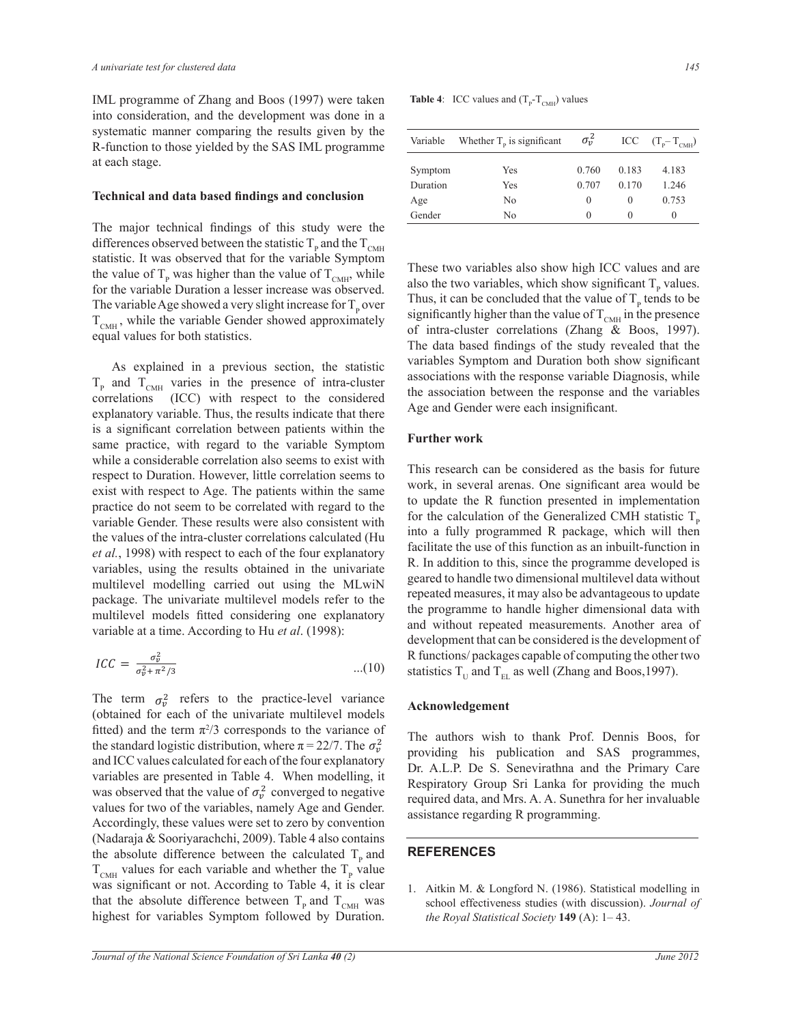IML programme of Zhang and Boos (1997) were taken into consideration, and the development was done in a systematic manner comparing the results given by the R-function to those yielded by the SAS IML programme at each stage.

#### **Technical and data based findings and conclusion**

The major technical findings of this study were the differences observed between the statistic  $T_{\rm p}$  and the  $T_{\rm CMH}$ statistic. It was observed that for the variable Symptom the value of  $T_{p}$  was higher than the value of  $T_{\text{CMH}}$ , while for the variable Duration a lesser increase was observed. The variable Age showed a very slight increase for  $T_{p}$  over  $T<sub>CMH</sub>$ , while the variable Gender showed approximately equal values for both statistics.

 As explained in a previous section, the statistic  $T_{\rm p}$  and  $T_{\rm CMH}$  varies in the presence of intra-cluster correlations (ICC) with respect to the considered explanatory variable. Thus, the results indicate that there is a significant correlation between patients within the same practice, with regard to the variable Symptom while a considerable correlation also seems to exist with respect to Duration. However, little correlation seems to exist with respect to Age. The patients within the same practice do not seem to be correlated with regard to the variable Gender. These results were also consistent with the values of the intra-cluster correlations calculated (Hu *et al.*, 1998) with respect to each of the four explanatory variables, using the results obtained in the univariate multilevel modelling carried out using the MLwiN package. The univariate multilevel models refer to the multilevel models fitted considering one explanatory variable at a time. According to Hu *et al*. (1998):

$$
ICC = \frac{\sigma_v^2}{\sigma_v^2 + \pi^2/3} \qquad ...(10)
$$

The term  $\sigma_v^2$  refers to the practice-level variance (obtained for each of the univariate multilevel models fitted) and the term  $\pi^2/3$  corresponds to the variance of the standard logistic distribution, where  $\pi = 22/7$ . The  $\sigma_v^2$ and ICC values calculated for each of the four explanatory variables are presented in Table 4. When modelling, it was observed that the value of  $\sigma_v^2$  converged to negative values for two of the variables, namely Age and Gender. Accordingly, these values were set to zero by convention (Nadaraja & Sooriyarachchi, 2009). Table 4 also contains the absolute difference between the calculated  $T_p$  and  $T_{\text{CMH}}$  values for each variable and whether the  $T_{\text{p}}$  value was significant or not. According to Table 4, it is clear that the absolute difference between  $T_{p}$  and  $T_{CMH}$  was highest for variables Symptom followed by Duration.

**Table 4**: ICC values and  $(T_{p} - T_{CMH})$  values

| Variable | Whether $T_p$ is significant | $\sigma_{\nu}^2$ |          | ICC $(T_{\text{p}}-T_{\text{CMH}})$ |
|----------|------------------------------|------------------|----------|-------------------------------------|
| Symptom  | Yes                          | 0.760            | 0.183    | 4.183                               |
| Duration | Yes                          | 0.707            | 0.170    | 1.246                               |
| Age      | No                           | $\theta$         | $\Omega$ | 0.753                               |
| Gender   | No                           | $\Omega$         | $\Omega$ | $\theta$                            |

These two variables also show high ICC values and are also the two variables, which show significant  $T_{\text{p}}$  values. Thus, it can be concluded that the value of  $T_p$  tends to be significantly higher than the value of  $T_{\text{CMB}}$  in the presence of intra-cluster correlations (Zhang & Boos, 1997). The data based findings of the study revealed that the variables Symptom and Duration both show significant associations with the response variable Diagnosis, while the association between the response and the variables Age and Gender were each insignificant.

#### **Further work**

This research can be considered as the basis for future work, in several arenas. One significant area would be to update the R function presented in implementation for the calculation of the Generalized CMH statistic  $T_p$ into a fully programmed R package, which will then facilitate the use of this function as an inbuilt-function in R. In addition to this, since the programme developed is geared to handle two dimensional multilevel data without repeated measures, it may also be advantageous to update the programme to handle higher dimensional data with and without repeated measurements. Another area of development that can be considered is the development of R functions/ packages capable of computing the other two statistics  $T_U$  and  $T_{EL}$  as well (Zhang and Boos, 1997).

#### **Acknowledgement**

The authors wish to thank Prof. Dennis Boos, for providing his publication and SAS programmes, Dr. A.L.P. De S. Senevirathna and the Primary Care Respiratory Group Sri Lanka for providing the much required data, and Mrs. A. A. Sunethra for her invaluable assistance regarding R programming.

# **REFERENCES**

1. Aitkin M. & Longford N. (1986). Statistical modelling in school effectiveness studies (with discussion). *Journal of the Royal Statistical Society* **149** (A): 1– 43.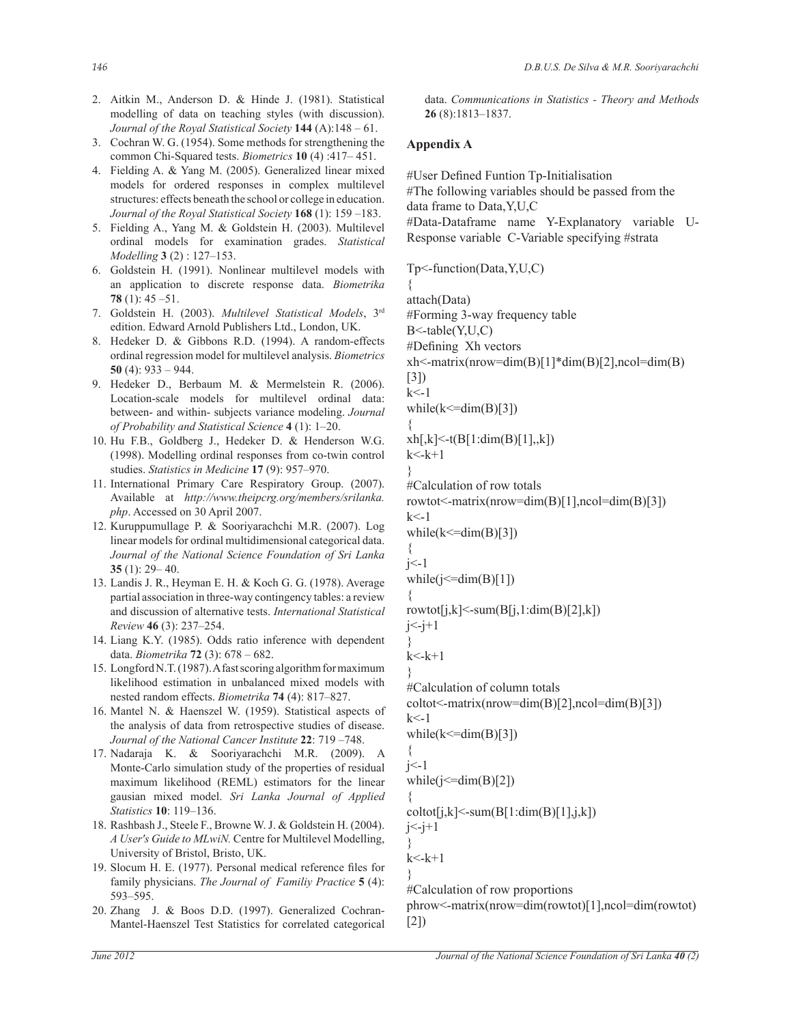- 2. Aitkin M., Anderson D. & Hinde J. (1981). Statistical
- modelling of data on teaching styles (with discussion). *Journal of the Royal Statistical Society* **144** (A):148 – 61.
- 3. Cochran W. G. (1954). Some methods for strengthening the common Chi-Squared tests. *Biometrics* **10** (4) :417– 451.
- 4. Fielding A. & Yang M. (2005). Generalized linear mixed models for ordered responses in complex multilevel structures: effects beneath the school or college in education. *Journal of the Royal Statistical Society* **168** (1): 159 –183.
- 5. Fielding A., Yang M. & Goldstein H. (2003). Multilevel ordinal models for examination grades. *Statistical Modelling* **3** (2) : 127–153.
- 6. Goldstein H. (1991). Nonlinear multilevel models with an application to discrete response data. *Biometrika* **78** (1): 45 –51.
- 7. Goldstein H. (2003). *Multilevel Statistical Models*, 3rd edition. Edward Arnold Publishers Ltd., London, UK.
- 8. Hedeker D. & Gibbons R.D. (1994). A random-effects ordinal regression model for multilevel analysis. *Biometrics* **50** (4): 933 – 944.
- 9. Hedeker D., Berbaum M. & Mermelstein R. (2006). Location-scale models for multilevel ordinal data: between- and within- subjects variance modeling. *Journal of Probability and Statistical Science* **4** (1): 1–20.
- 10. Hu F.B., Goldberg J., Hedeker D. & Henderson W.G. (1998). Modelling ordinal responses from co-twin control studies. *Statistics in Medicine* **17** (9): 957–970.
- 11. International Primary Care Respiratory Group. (2007). Available at *http://www.theipcrg.org/members/srilanka. php*. Accessed on 30 April 2007.
- 12. Kuruppumullage P. & Sooriyarachchi M.R. (2007). Log linear models for ordinal multidimensional categorical data. *Journal of the National Science Foundation of Sri Lanka*  **35** (1): 29– 40.
- 13. Landis J. R., Heyman E. H. & Koch G. G. (1978). Average partial association in three-way contingency tables: a review and discussion of alternative tests. *International Statistical Review* **46** (3): 237–254.
- 14. Liang K.Y. (1985). Odds ratio inference with dependent data. *Biometrika* **72** (3): 678 – 682.
- 15. Longford N.T. (1987). A fast scoring algorithm for maximum likelihood estimation in unbalanced mixed models with nested random effects. *Biometrika* **74** (4): 817–827.
- 16. Mantel N. & Haenszel W. (1959). Statistical aspects of the analysis of data from retrospective studies of disease. *Journal of the National Cancer Institute* **22**: 719 –748.
- 17. Nadaraja K. & Sooriyarachchi M.R. (2009). A Monte-Carlo simulation study of the properties of residual maximum likelihood (REML) estimators for the linear gausian mixed model. *Sri Lanka Journal of Applied Statistics* **10**: 119–136.
- 18. Rashbash J., Steele F., Browne W. J. & Goldstein H. (2004). *A User's Guide to MLwiN.* Centre for Multilevel Modelling, University of Bristol, Bristo, UK.
- 19. Slocum H. E. (1977). Personal medical reference files for family physicians. *The Journal of Familiy Practice* **5** (4): 593–595.
- 20. Zhang J. & Boos D.D. (1997). Generalized Cochran-Mantel-Haenszel Test Statistics for correlated categorical

data. *Communications in Statistics - Theory and Methods* **26** (8):1813–1837.

# **Appendix A**

#User Defined Funtion Tp-Initialisation #The following variables should be passed from the data frame to Data,Y,U,C #Data-Dataframe name Y-Explanatory variable U-Response variable C-Variable specifying #strata

Tp<-function(Data,Y,U,C)

{ attach(Data)

#Forming 3-way frequency table

B<-table(Y,U,C)

#Defining Xh vectors

 $xh$  <-matrix(nrow=dim(B)[1]\*dim(B)[2],ncol=dim(B)

[3])

{

 $k<-1$ 

```
while(k \leq dim(B)[3])
```

$$
xh[,k]<-t(B[1:dim(B)[1],k])
$$
  
k<-k+1

} #Calculation of row totals

rowtot<-matrix(nrow=dim(B)[1],ncol=dim(B)[3])

 $k<-1$ while( $k \leq dim(B)[3]$ )

```
{
i<-1
```

```
while(i \le=dim(B)[1])
```

```
{
rowtot[i,k] < -sum(B[i,1:dim(B)[2],k])j < -j+1
```

```
}
k < -k+1
```
} #Calculation of column totals coltot<-matrix(nrow=dim(B)[2],ncol=dim(B)[3])  $k<-1$ 

```
while(k \leq dim(B)[3])
```
{  $i$   $\le$   $-1$ while( $i \leq$ =dim $(B)[2]$ ) {

 $coltot[i,k] < -sum(B[1:dim(B)[1],i,k])$  $i < i+1$ 

}

}

 $k < -k+1$ 

#Calculation of row proportions phrow<-matrix(nrow=dim(rowtot)[1],ncol=dim(rowtot) [2])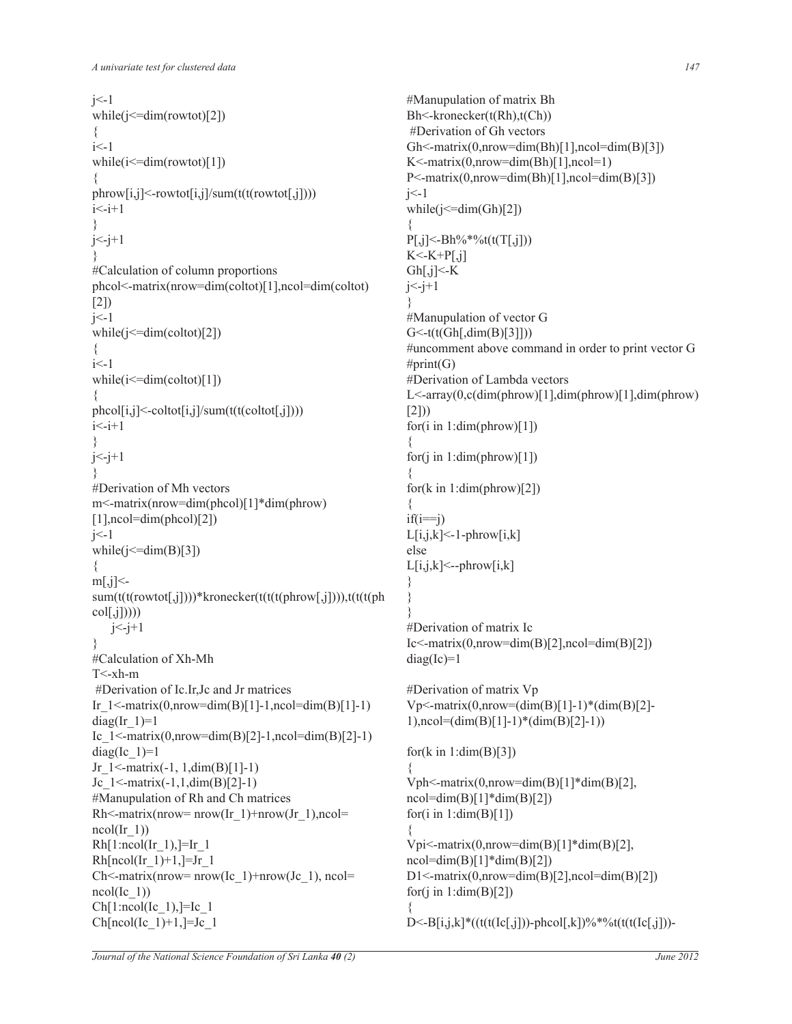$j<-1$ while( $j \leq \text{dim}(\text{rowtot})[2]$ ) {  $i<-1$ while( $i \le \text{dim}(\text{rowtot})[1]$ ) {  $phrow[i,j] \leq -rowtot[i,j]/sum(t(trowtot[j,j]))$  $i<-i+1$ }  $j < -j+1$ } #Calculation of column proportions phcol<-matrix(nrow=dim(coltot)[1],ncol=dim(coltot) [2])  $i<-1$ while( $j \leq \text{dim}(\text{coltot})[2]$ ) {  $i<-1$ while( $i \le$ =dim(coltot)[1]) {  $phcol[i,j] < coltot[i,j]/sum(t(tcoltot[j]))$  $i<-i+1$ }  $j \leq -j+1$ } #Derivation of Mh vectors m<-matrix(nrow=dim(phcol)[1]\*dim(phrow) [1],ncol=dim(phcol)[2])  $j < -1$ while( $j \leq dim(B)[3]$ )  $\{$  $m[j]$  <sum(t(t(rowtot[,j])))\*kronecker(t(t(t(t(phrow[,j]))),t(t(t(ph  $col[j]))$ )  $j < -j+1$ } #Calculation of Xh-Mh T<-xh-m #Derivation of Ic.Ir,Jc and Jr matrices Ir  $1 < -$  matrix(0,nrow=dim(B)[1]-1,ncol=dim(B)[1]-1) diag(Ir  $1)=1$  $Ic_1$ <-matrix $(0,$ nrow=dim $(B)[2]$ -1,ncol=dim $(B)[2]$ -1) diag(Ic $_1$ )=1 Jr\_1<-matrix(-1, 1,dim(B)[1]-1)  $Jc_1$ <-matrix $(-1,1,dim(B)[2]-1)$ #Manupulation of Rh and Ch matrices  $Rh$  <- matrix(nrow= nrow(Ir\_1)+nrow(Jr\_1),ncol=  $ncol(Ir_1)$  $Rh[1:ncol(Ir_1),]=Ir_1$  $Rh[ncol(Ir_1)+1,]=Jr_1$  $Ch \le$ -matrix(nrow= nrow(Ic 1)+nrow(Jc 1), ncol=  $ncol($ Ic 1))  $Ch[1:ncol(1c_1)]=Ic_1$  $Ch[ncol(IC_1)+1,]=Jc_1$ 

#Manupulation of matrix Bh Bh<-kronecker(t(Rh),t(Ch)) #Derivation of Gh vectors  $Gh$  <-matrix $(0, nrow=dim(Bh)[1], ncol=dim(B)[3])$ K<-matrix(0,nrow=dim(Bh)[1],ncol=1) P<-matrix(0,nrow=dim(Bh)[1],ncol=dim(B)[3])  $j < -1$ while( $j \leq \text{dim}(Gh)[2]$ ) {  $P[j] < -Bh\%*%t(t(T[j]))$  $K < K+P[j]$  $Gh[j]$  $j < -j+1$ } #Manupulation of vector G  $G \leq t(t(Gh[, dim(B)[3]]))$ #uncomment above command in order to print vector G # $print(G)$ #Derivation of Lambda vectors L<-array(0,c(dim(phrow)[1],dim(phrow)[1],dim(phrow) [2])) for(i in  $1:dim(phrow)[1]$ ) { for(j in 1: $dim($ phrow)[1]) { for( $k$  in 1:dim( $phrow$ )[2]) {  $if(i==j)$  $L[i,j,k] < -1$ -phrow $[i,k]$ else  $L[i,j,k] \le -\text{phrow}[i,k]$ } } } #Derivation of matrix Ic  $Ic$  \le -matrix(0,nrow=dim(B)[2],ncol=dim(B)[2])  $diag(Ic)=1$ #Derivation of matrix Vp  $Vp$  <-matrix(0,nrow=(dim(B)[1]-1)\*(dim(B)[2]-1),ncol=(dim(B)[1]-1)\*(dim(B)[2]-1)) for( $k$  in 1:dim( $B$ )[3]) { Vph<-matrix(0,nrow=dim(B)[1]\*dim(B)[2],  $ncol=dim(B)[1]*dim(B)[2])$ for(i in  $1:dim(B)[1]$ ) {  $Vpi$  <-matrix(0,nrow=dim(B)[1]\*dim(B)[2],  $ncol=dim(B)[1]*dim(B)[2])$ D1<-matrix $(0,$ nrow=dim $(B)[2],$ ncol=dim $(B)[2])$ for(j in  $1:dim(B)[2]$ ) {

D <- B[i,j,k]\*((t(t(Ic[,j]))-phcol[,k])%\*%t(t(t(Ic[,j]))-